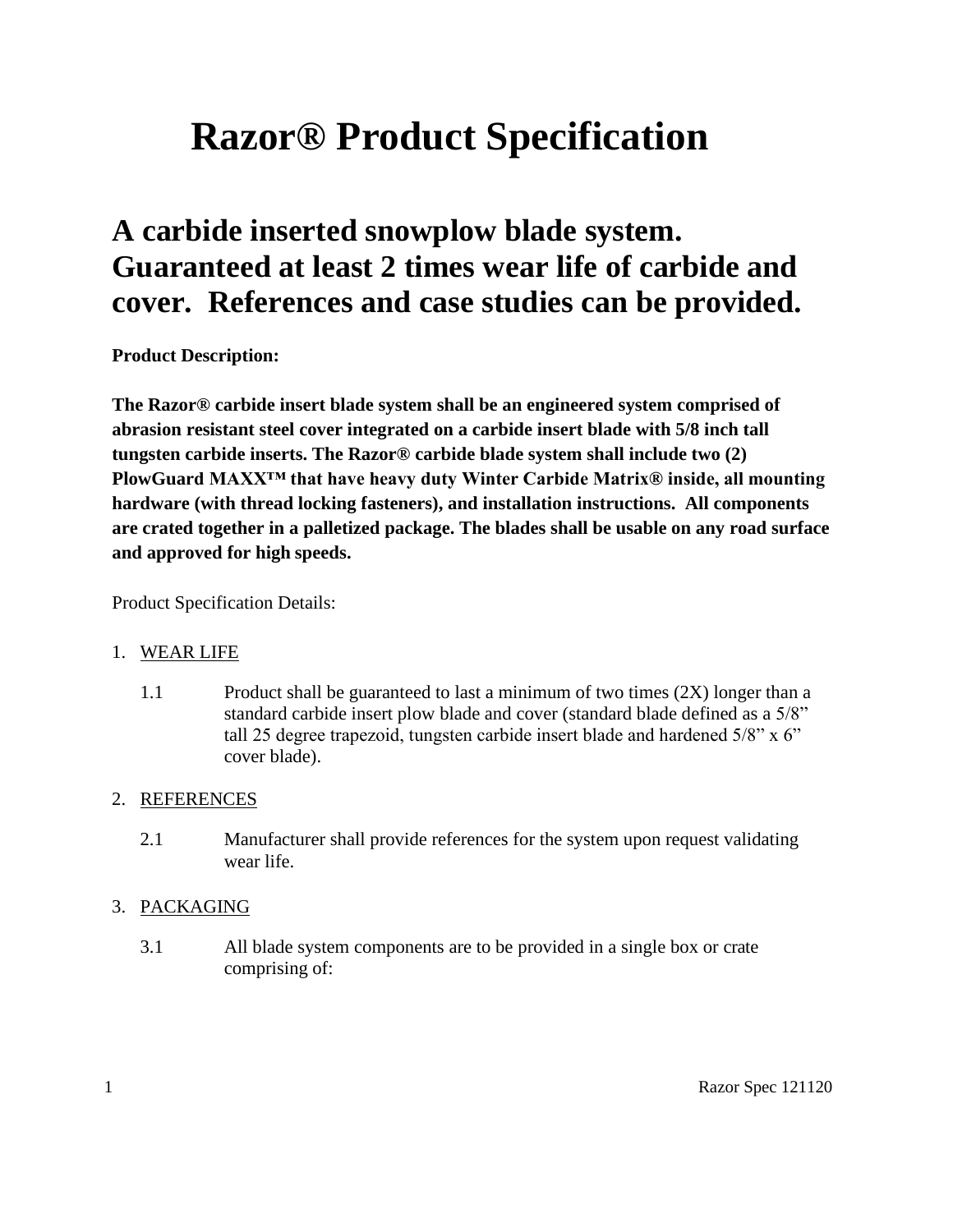# **Razor® Product Specification**

## **A carbide inserted snowplow blade system. Guaranteed at least 2 times wear life of carbide and cover. References and case studies can be provided.**

**Product Description:**

**The Razor® carbide insert blade system shall be an engineered system comprised of abrasion resistant steel cover integrated on a carbide insert blade with 5/8 inch tall tungsten carbide inserts. The Razor® carbide blade system shall include two (2) PlowGuard MAXX™ that have heavy duty Winter Carbide Matrix® inside, all mounting hardware (with thread locking fasteners), and installation instructions. All components are crated together in a palletized package. The blades shall be usable on any road surface and approved for high speeds.**

Product Specification Details:

#### 1. WEAR LIFE

1.1 Product shall be guaranteed to last a minimum of two times (2X) longer than a standard carbide insert plow blade and cover (standard blade defined as a 5/8" tall 25 degree trapezoid, tungsten carbide insert blade and hardened 5/8" x 6" cover blade).

#### 2. REFERENCES

2.1 Manufacturer shall provide references for the system upon request validating wear life.

#### 3. PACKAGING

3.1 All blade system components are to be provided in a single box or crate comprising of: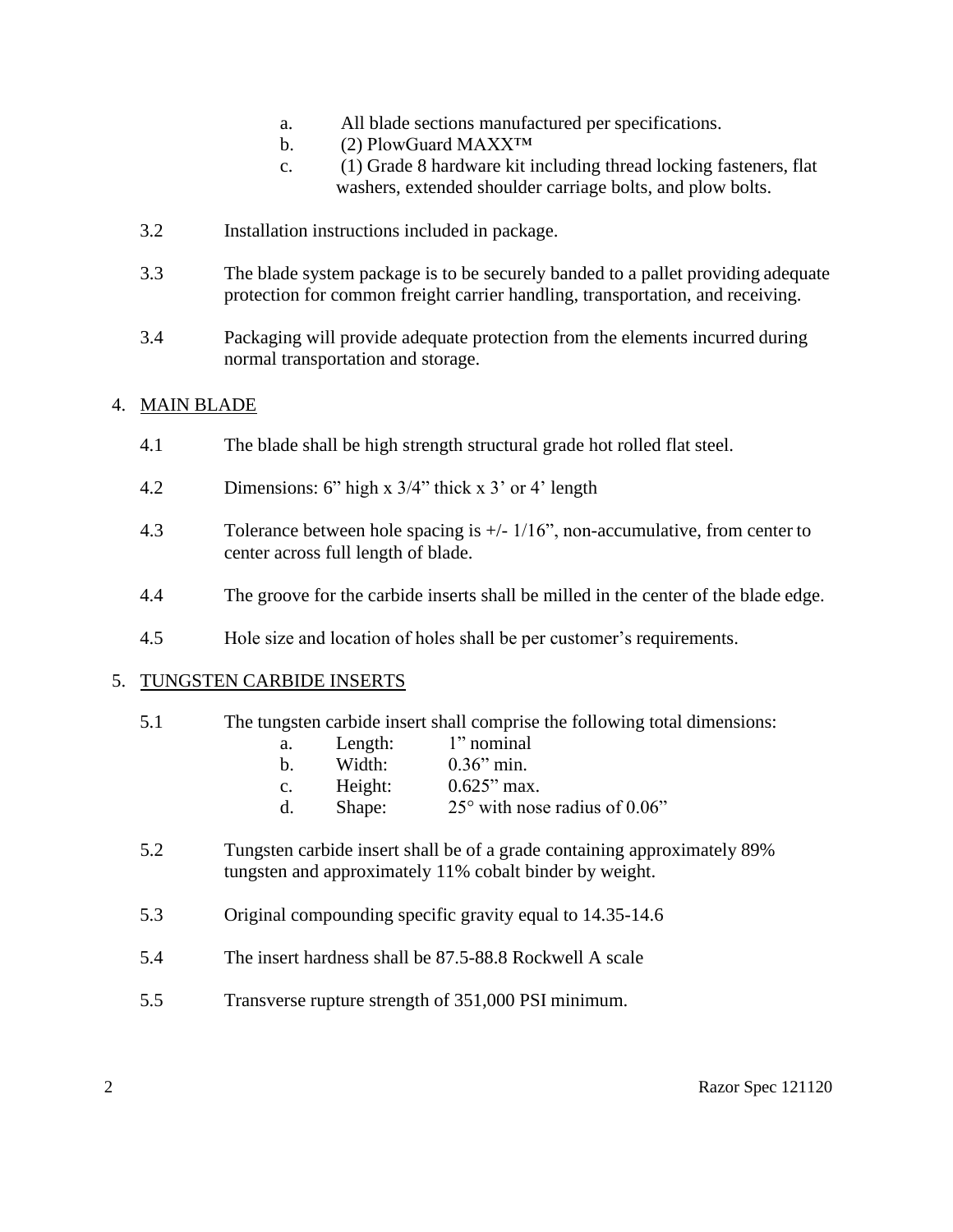- a. All blade sections manufactured per specifications.
- b. (2) PlowGuard MAXX<sup>TM</sup>
- c. (1) Grade 8 hardware kit including thread locking fasteners, flat washers, extended shoulder carriage bolts, and plow bolts.
- 3.2 Installation instructions included in package.
- 3.3 The blade system package is to be securely banded to a pallet providing adequate protection for common freight carrier handling, transportation, and receiving.
- 3.4 Packaging will provide adequate protection from the elements incurred during normal transportation and storage.

#### 4. MAIN BLADE

- 4.1 The blade shall be high strength structural grade hot rolled flat steel.
- 4.2 Dimensions: 6" high x 3/4" thick x 3' or 4' length
- 4.3 Tolerance between hole spacing is +/- 1/16", non-accumulative, from center to center across full length of blade.
- 4.4 The groove for the carbide inserts shall be milled in the center of the blade edge.
- 4.5 Hole size and location of holes shall be per customer's requirements.

#### 5. TUNGSTEN CARBIDE INSERTS

- 5.1 The tungsten carbide insert shall comprise the following total dimensions: a. Length: 1" nominal
	- b. Width: 0.36" min. c. Height: 0.625" max. d. Shape: 25° with nose radius of 0.06"
- 5.2 Tungsten carbide insert shall be of a grade containing approximately 89% tungsten and approximately 11% cobalt binder by weight.
- 5.3 Original compounding specific gravity equal to 14.35-14.6
- 5.4 The insert hardness shall be 87.5-88.8 Rockwell A scale
- 5.5 Transverse rupture strength of 351,000 PSI minimum.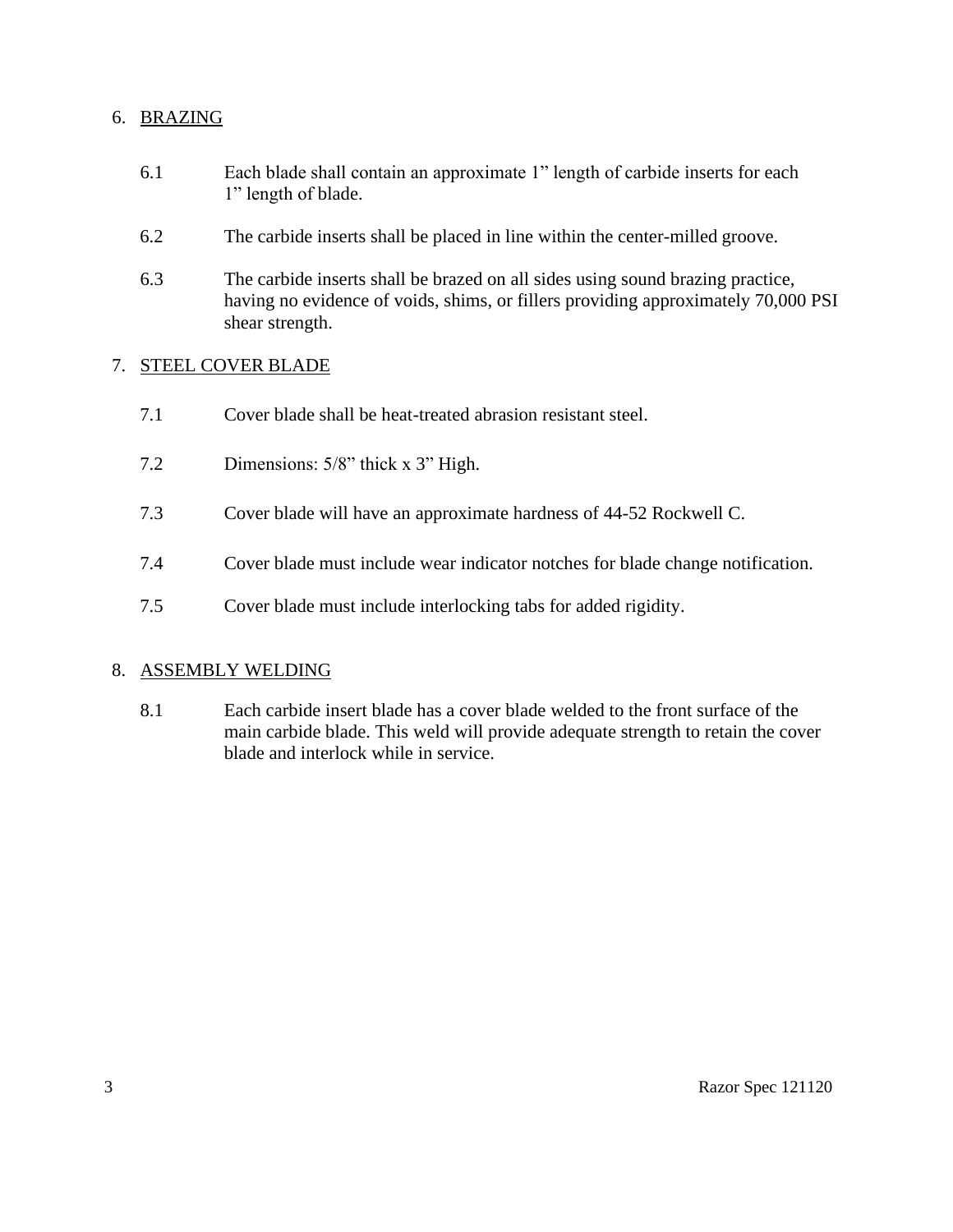#### 6. BRAZING

- 6.1 Each blade shall contain an approximate 1" length of carbide inserts for each 1" length of blade.
- 6.2 The carbide inserts shall be placed in line within the center-milled groove.
- 6.3 The carbide inserts shall be brazed on all sides using sound brazing practice, having no evidence of voids, shims, or fillers providing approximately 70,000 PSI shear strength.

#### 7. STEEL COVER BLADE

- 7.1 Cover blade shall be heat-treated abrasion resistant steel.
- 7.2 Dimensions: 5/8" thick x 3" High.
- 7.3 Cover blade will have an approximate hardness of 44-52 Rockwell C.
- 7.4 Cover blade must include wear indicator notches for blade change notification.
- 7.5 Cover blade must include interlocking tabs for added rigidity.

#### 8. ASSEMBLY WELDING

8.1 Each carbide insert blade has a cover blade welded to the front surface of the main carbide blade. This weld will provide adequate strength to retain the cover blade and interlock while in service.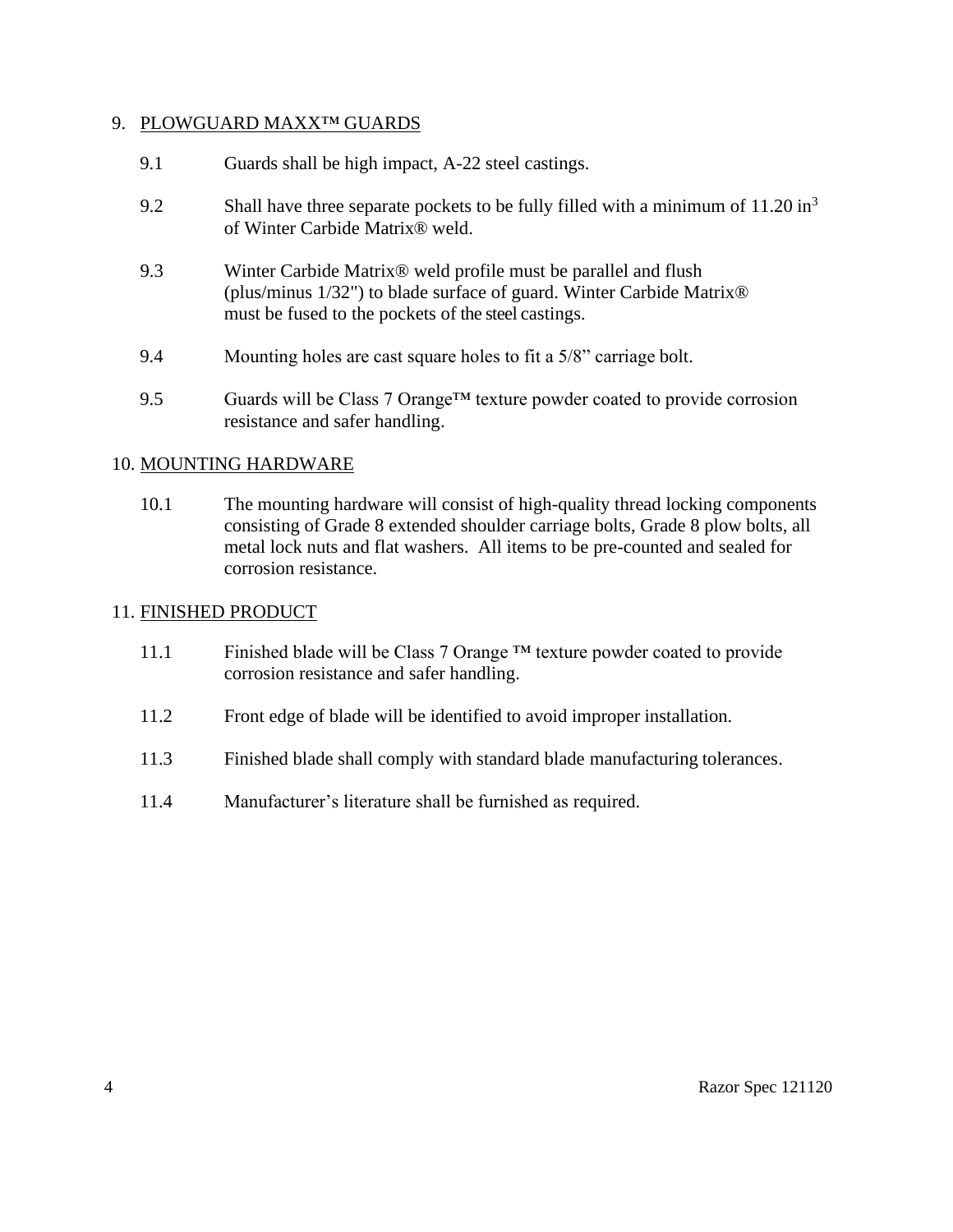#### 9. PLOWGUARD MAXX™ GUARDS

- 9.1 Guards shall be high impact, A-22 steel castings.
- 9.2 Shall have three separate pockets to be fully filled with a minimum of  $11.20 \text{ in}^3$ of Winter Carbide Matrix® weld.
- 9.3 Winter Carbide Matrix® weld profile must be parallel and flush (plus/minus 1/32") to blade surface of guard. Winter Carbide Matrix® must be fused to the pockets of the steel castings.
- 9.4 Mounting holes are cast square holes to fit a 5/8" carriage bolt.
- 9.5 Guards will be Class 7 Orange<sup>TM</sup> texture powder coated to provide corrosion resistance and safer handling.

#### 10. MOUNTING HARDWARE

10.1 The mounting hardware will consist of high-quality thread locking components consisting of Grade 8 extended shoulder carriage bolts, Grade 8 plow bolts, all metal lock nuts and flat washers. All items to be pre-counted and sealed for corrosion resistance.

#### 11. FINISHED PRODUCT

- 11.1 Finished blade will be Class 7 Orange ™ texture powder coated to provide corrosion resistance and safer handling.
- 11.2 Front edge of blade will be identified to avoid improper installation.
- 11.3 Finished blade shall comply with standard blade manufacturing tolerances.
- 11.4 Manufacturer's literature shall be furnished as required.